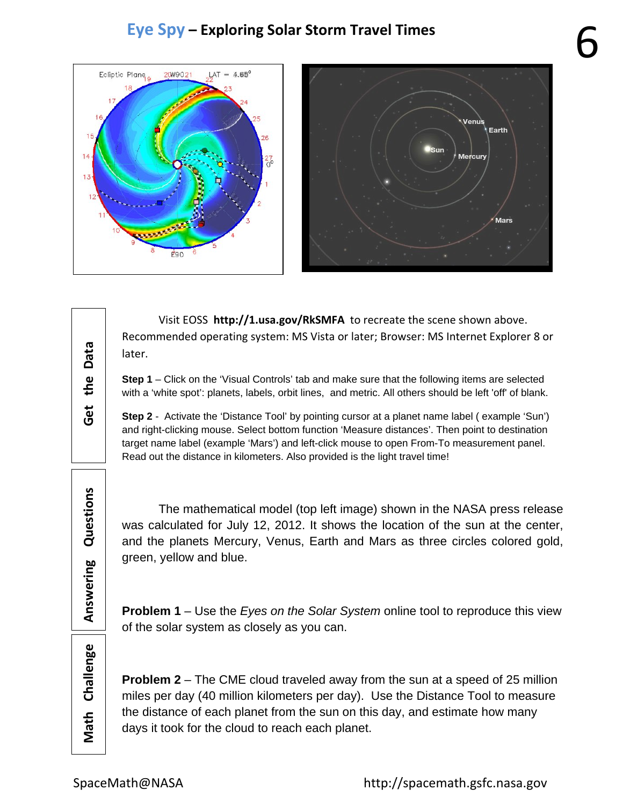## 6 **Eye Spy – Exploring Solar Storm Travel Times**





Visit EOSS **http://1.usa.gov/RkSMFA** to recreate the scene shown above. Recommended operating system: MS Vista or later; Browser: MS Internet Explorer 8 or later.

**Step 1** – Click on the 'Visual Controls' tab and make sure that the following items are selected with a 'white spot': planets, labels, orbit lines, and metric. All others should be left 'off' of blank.

**Step 2** - Activate the 'Distance Tool' by pointing cursor at a planet name label ( example 'Sun') and right-clicking mouse. Select bottom function 'Measure distances'. Then point to destination target name label (example 'Mars') and left-click mouse to open From-To measurement panel. Read out the distance in kilometers. Also provided is the light travel time!

The mathematical model (top left image) shown in the NASA press release was calculated for July 12, 2012. It shows the location of the sun at the center, and the planets Mercury, Venus, Earth and Mars as three circles colored gold, green, yellow and blue.

**Problem 1** – Use the *Eyes on the Solar System* online tool to reproduce this view of the solar system as closely as you can.

**Math Challenge**

**Answering Questions**

Answering

Questions

**Get the Data**

the

Get

**Data** 

**Problem 2** – The CME cloud traveled away from the sun at a speed of 25 million miles per day (40 million kilometers per day). Use the Distance Tool to measure the distance of each planet from the sun on this day, and estimate how many days it took for the cloud to reach each planet.